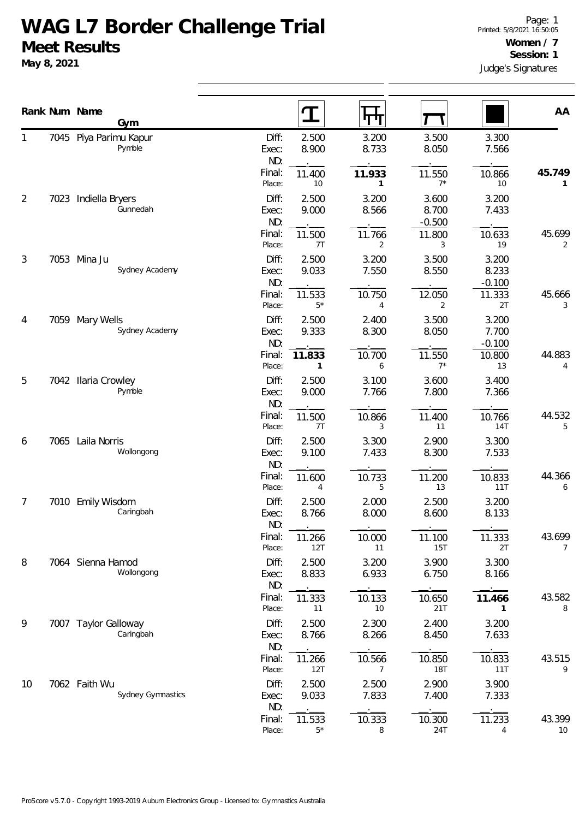## **WAG L7 Border Challenge Trial Meet Results**

**May 8, 2021**

|                |      | Rank Num Name<br>Gym               |                         |                        | पाग                      |                         |                            | AA           |
|----------------|------|------------------------------------|-------------------------|------------------------|--------------------------|-------------------------|----------------------------|--------------|
|                | 7045 | Piya Parimu Kapur<br>Pymble        | Diff:<br>Exec:          | 2.500<br>8.900         | 3.200<br>8.733           | 3.500<br>8.050          | 3.300<br>7.566             |              |
|                |      |                                    | ND:<br>Final:<br>Place: | 11.400<br>10           | 11.933<br>$\mathbf{1}$   | 11.550<br>$7^*$         | 10.866<br>10               | 45.749<br>1  |
| $\overline{2}$ |      | 7023 Indiella Bryers<br>Gunnedah   | Diff:<br>Exec:          | 2.500<br>9.000         | 3.200<br>8.566           | 3.600<br>8.700          | 3.200<br>7.433             |              |
|                |      |                                    | ND:<br>Final:<br>Place: | 11.500<br>7T           | 11.766<br>2              | $-0.500$<br>11.800<br>3 | 10.633<br>19               | 45.699<br>2  |
| $\mathfrak{Z}$ |      | 7053 Mina Ju<br>Sydney Academy     | Diff:<br>Exec:<br>ND:   | 2.500<br>9.033         | 3.200<br>7.550           | 3.500<br>8.550          | 3.200<br>8.233<br>$-0.100$ |              |
|                |      |                                    | Final:<br>Place:        | 11.533<br>$5*$         | 10.750<br>4              | 12.050<br>2             | 11.333<br>2T               | 45.666<br>3  |
| 4              | 7059 | Mary Wells<br>Sydney Academy       | Diff:<br>Exec:<br>ND:   | 2.500<br>9.333         | 2.400<br>8.300           | 3.500<br>8.050          | 3.200<br>7.700<br>$-0.100$ |              |
|                |      |                                    | Final:<br>Place:        | 11.833<br>$\mathbf{1}$ | 10.700<br>6              | 11.550<br>$7*$          | 10.800<br>13               | 44.883<br>4  |
| 5<br>6         | 7042 | <b>Ilaria Crowley</b><br>Pymble    | Diff:<br>Exec:<br>ND:   | 2.500<br>9.000         | 3.100<br>7.766           | 3.600<br>7.800          | 3.400<br>7.366             |              |
|                |      |                                    | Final:<br>Place:        | 11.500<br>7T           | 10.866<br>3              | 11.400<br>11            | 10.766<br><b>14T</b>       | 44.532<br>5  |
|                | 7065 | Laila Norris<br>Wollongong         | Diff:<br>Exec:<br>ND:   | 2.500<br>9.100         | 3.300<br>7.433           | 2.900<br>8.300          | 3.300<br>7.533             |              |
|                |      |                                    | Final:<br>Place:        | 11.600<br>4            | 10.733<br>5              | 11.200<br>13            | 10.833<br>11T              | 44.366<br>6  |
| 7              |      | 7010 Emily Wisdom<br>Caringbah     | Diff:<br>Exec:<br>ND:   | 2.500<br>8.766         | 2.000<br>8.000           | 2.500<br>8.600          | 3.200<br>8.133             |              |
|                |      |                                    | Final:<br>Place:        | 11.266<br>12T          | 10.000<br>11             | 11.100<br>15T           | 11.333<br>2T               | 43.699<br>7  |
| 8              |      | 7064 Sienna Hamod<br>Wollongong    | Diff:<br>Exec:<br>ND:   | 2.500<br>8.833         | 3.200<br>6.933           | 3.900<br>6.750          | 3.300<br>8.166             |              |
|                |      |                                    | Final:<br>Place:        | 11.333<br>11           | 10.133<br>$10\,$         | 10.650<br>21T           | 11.466<br>1                | 43.582<br>8  |
| 9              |      | 7007 Taylor Galloway<br>Caringbah  | Diff:<br>Exec:<br>ND:   | 2.500<br>8.766         | 2.300<br>8.266           | 2.400<br>8.450          | 3.200<br>7.633             |              |
|                |      |                                    | Final:<br>Place:        | 11.266<br>12T          | 10.566<br>$\overline{7}$ | 10.850<br><b>18T</b>    | 10.833<br>11T              | 43.515<br>9  |
| 10             |      | 7062 Faith Wu<br>Sydney Gymnastics | Diff:<br>Exec:<br>ND:   | 2.500<br>9.033         | 2.500<br>7.833           | 2.900<br>7.400          | 3.900<br>7.333             |              |
|                |      |                                    | Final:<br>Place:        | 11.533<br>$5*$         | 10.333<br>8              | 10.300<br>24T           | 11.233<br>4                | 43.399<br>10 |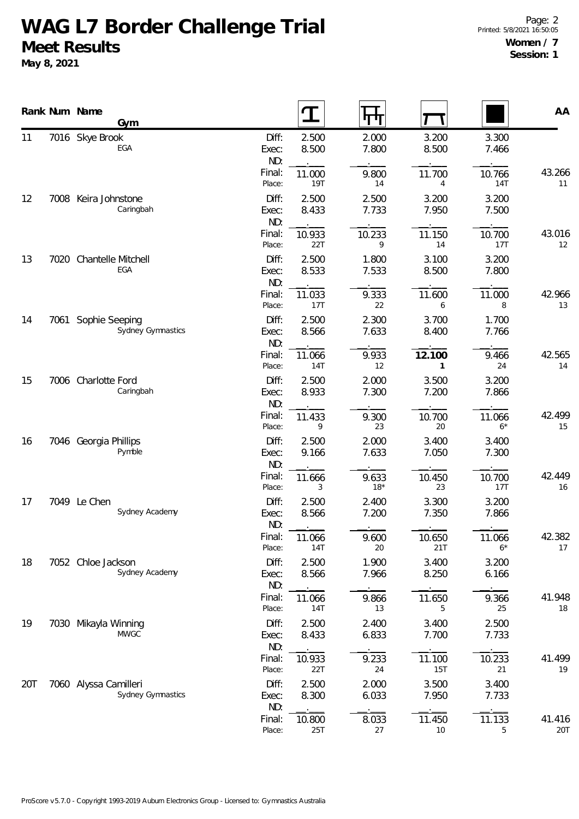## **WAG L7 Border Challenge Trial Meet Results**

**May 8, 2021**

|     |      | Rank Num Name<br>Gym                       |                       |                |                |                      |                      | AA            |
|-----|------|--------------------------------------------|-----------------------|----------------|----------------|----------------------|----------------------|---------------|
| 11  |      | 7016 Skye Brook<br>EGA                     | Diff:<br>Exec:<br>ND: | 2.500<br>8.500 | 2.000<br>7.800 | 3.200<br>8.500       | 3.300<br>7.466       |               |
|     |      |                                            | Final:<br>Place:      | 11.000<br>19T  | 9.800<br>14    | 11.700<br>4          | 10.766<br><b>14T</b> | 43.266<br>11  |
| 12  |      | 7008 Keira Johnstone<br>Caringbah          | Diff:<br>Exec:<br>ND: | 2.500<br>8.433 | 2.500<br>7.733 | 3.200<br>7.950       | 3.200<br>7.500       |               |
|     |      |                                            | Final:<br>Place:      | 10.933<br>22T  | 10.233<br>9    | 11.150<br>14         | 10.700<br>17T        | 43.016<br>12  |
| 13  |      | 7020 Chantelle Mitchell<br>EGA             | Diff:<br>Exec:<br>ND: | 2.500<br>8.533 | 1.800<br>7.533 | 3.100<br>8.500       | 3.200<br>7.800       |               |
|     |      |                                            | Final:<br>Place:      | 11.033<br>17T  | 9.333<br>22    | 11.600<br>6          | 11.000<br>8          | 42.966<br>13  |
| 14  | 7061 | Sophie Seeping<br>Sydney Gymnastics        | Diff:<br>Exec:<br>ND: | 2.500<br>8.566 | 2.300<br>7.633 | 3.700<br>8.400       | 1.700<br>7.766       |               |
|     |      |                                            | Final:<br>Place:      | 11.066<br>14T  | 9.933<br>12    | 12.100<br>1          | 9.466<br>24          | 42.565<br>14  |
| 15  |      | 7006 Charlotte Ford<br>Caringbah           | Diff:<br>Exec:<br>ND: | 2.500<br>8.933 | 2.000<br>7.300 | 3.500<br>7.200       | 3.200<br>7.866       |               |
|     |      |                                            | Final:<br>Place:      | 11.433<br>9    | 9.300<br>23    | 10.700<br>20         | 11.066<br>$6*$       | 42.499<br>15  |
| 16  |      | 7046 Georgia Phillips<br>Pymble            | Diff:<br>Exec:<br>ND: | 2.500<br>9.166 | 2.000<br>7.633 | 3.400<br>7.050       | 3.400<br>7.300       |               |
|     |      |                                            | Final:<br>Place:      | 11.666<br>3    | 9.633<br>$18*$ | 10.450<br>23         | 10.700<br>17T        | 42.449<br>16  |
| 17  |      | 7049 Le Chen<br>Sydney Academy             | Diff:<br>Exec:<br>ND: | 2.500<br>8.566 | 2.400<br>7.200 | 3.300<br>7.350       | 3.200<br>7.866       |               |
|     |      |                                            | Final:<br>Place:      | 11.066<br>14T  | 9.600<br>20    | 10.650<br>21T        | 11.066<br>$6*$       | 42.382<br>17  |
| 18  |      | 7052 Chloe Jackson<br>Sydney Academy       | Diff:<br>Exec:<br>ND: | 2.500<br>8.566 | 1.900<br>7.966 | 3.400<br>8.250       | 3.200<br>6.166       |               |
|     |      |                                            | Final:<br>Place:      | 11.066<br>14T  | 9.866<br>13    | 11.650<br>5          | 9.366<br>25          | 41.948<br>18  |
| 19  |      | 7030 Mikayla Winning<br><b>MWGC</b>        | Diff:<br>Exec:<br>ND: | 2.500<br>8.433 | 2.400<br>6.833 | 3.400<br>7.700       | 2.500<br>7.733       |               |
|     |      |                                            | Final:<br>Place:      | 10.933<br>22T  | 9.233<br>24    | 11.100<br><b>15T</b> | 10.233<br>21         | 41.499<br>19  |
| 20T |      | 7060 Alyssa Camilleri<br>Sydney Gymnastics | Diff:<br>Exec:<br>ND: | 2.500<br>8.300 | 2.000<br>6.033 | 3.500<br>7.950       | 3.400<br>7.733       |               |
|     |      |                                            | Final:<br>Place:      | 10.800<br>25T  | 8.033<br>27    | 11.450<br>10         | 11.133<br>5          | 41.416<br>20T |